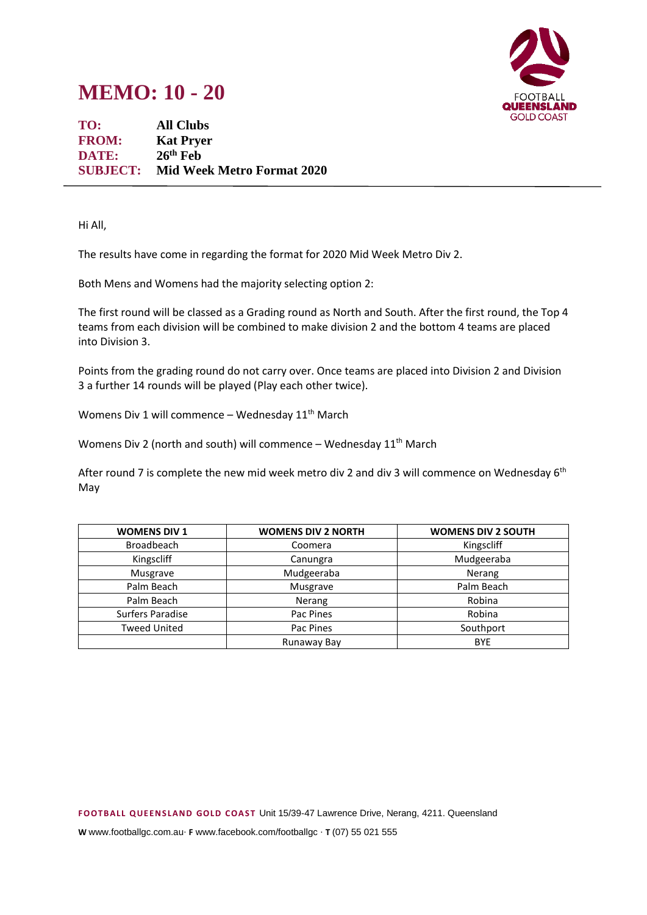## **MEMO: 10 - 20**



**TO: All Clubs FROM: Kat Pryer DATE: 26th Feb SUBJECT: Mid Week Metro Format 2020**

Hi All,

The results have come in regarding the format for 2020 Mid Week Metro Div 2.

Both Mens and Womens had the majority selecting option 2:

The first round will be classed as a Grading round as North and South. After the first round, the Top 4 teams from each division will be combined to make division 2 and the bottom 4 teams are placed into Division 3.

Points from the grading round do not carry over. Once teams are placed into Division 2 and Division 3 a further 14 rounds will be played (Play each other twice).

Womens Div 1 will commence – Wednesday  $11<sup>th</sup>$  March

Womens Div 2 (north and south) will commence – Wednesday  $11<sup>th</sup>$  March

After round 7 is complete the new mid week metro div 2 and div 3 will commence on Wednesday  $6<sup>th</sup>$ May

| <b>WOMENS DIV 1</b> | <b>WOMENS DIV 2 NORTH</b> | <b>WOMENS DIV 2 SOUTH</b> |
|---------------------|---------------------------|---------------------------|
| <b>Broadbeach</b>   | Coomera                   | Kingscliff                |
| Kingscliff          | Canungra                  | Mudgeeraba                |
| Musgrave            | Mudgeeraba                | Nerang                    |
| Palm Beach          | Musgrave                  | Palm Beach                |
| Palm Beach          | Nerang                    | Robina                    |
| Surfers Paradise    | Pac Pines                 | Robina                    |
| <b>Tweed United</b> | Pac Pines                 | Southport                 |
|                     | Runaway Bay               | <b>BYE</b>                |

**W** www.footballgc.com.au. **F** www.facebook.com/footballgc . **T** (07) 55 021 555